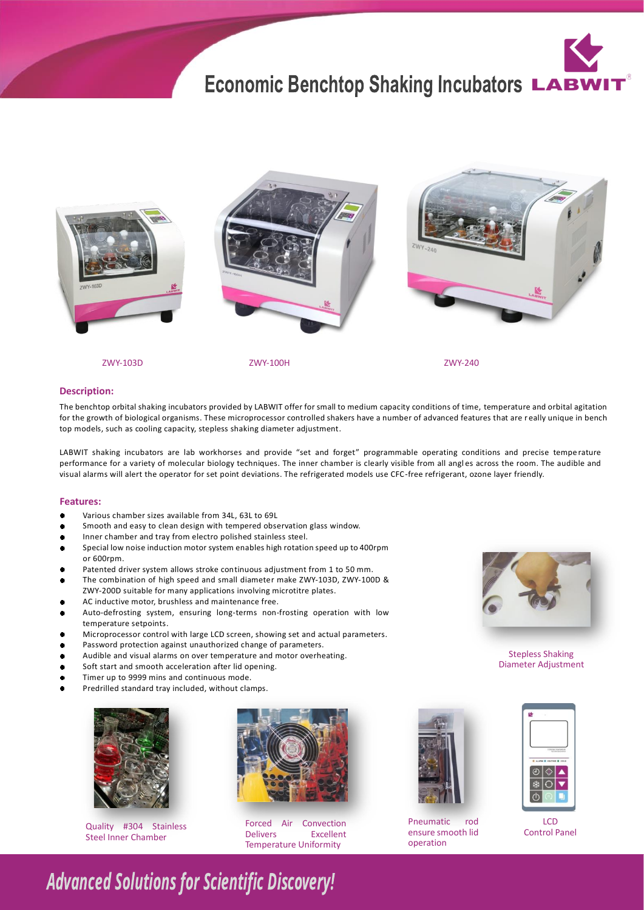# **Economic Benchtop Shaking Incubators LABW**



ZWY-103D ZWY-240

ZWY-100H

### **Description:**

The benchtop orbital shaking incubators provided by LABWIT offer for small to medium capacity conditions of time, temperature and orbital agitation for the growth of biological organisms. These microprocessor controlled shakers have a number of advanced features that are r eally unique in bench top models, such as cooling capacity, stepless shaking diameter adjustment.

LABWIT shaking incubators are lab workhorses and provide "set and forget" programmable operating conditions and precise tempe rature performance for a variety of molecular biology techniques. The inner chamber is clearly visible from all angles across the room. The audible and visual alarms will alert the operator for set point deviations. The refrigerated models use CFC-free refrigerant, ozone layer friendly.

#### **Features:**

- Various chamber sizes available from 34L, 63L to 69L  $\bullet$
- Smooth and easy to clean design with tempered observation glass window.  $\bullet$
- Inner chamber and tray from electro polished stainless steel.
- $\bullet$ Special low noise induction motor system enables high rotation speed up to 400rpm or 600rpm.
- Patented driver system allows stroke continuous adjustment from 1 to 50 mm. ٠
- The combination of high speed and small diameter make ZWY-103D, ZWY-100D & ZWY-200D suitable for many applications involving microtitre plates.
- AC inductive motor, brushless and maintenance free.
- Auto-defrosting system, ensuring long-terms non-frosting operation with low  $\bullet$ temperature setpoints.
- Microprocessor control with large LCD screen, showing set and actual parameters.  $\bullet$
- $\bullet$ Password protection against unauthorized change of parameters.
- Audible and visual alarms on over temperature and motor overheating.  $\bullet$
- Soft start and smooth acceleration after lid opening.  $\bullet$
- $\bullet$ Timer up to 9999 mins and continuous mode.
- Predrilled standard tray included, without clamps.



Steel Inner Chamber



Quality #304 Stainless **Forced Air Convection** Pneumatic rod<br>Charl Panel Delivers **Excellent** ensure smooth lider and the Presence of the Presence of the Presence of the Pre Forced Air **Excellent** Temperature Uniformity



Pneumatic ensure smooth lid operation



Stepless Shaking Diameter Adjustment



LCD<br>Control Panel

## **Advanced Solutions for Scientific Discovery!**